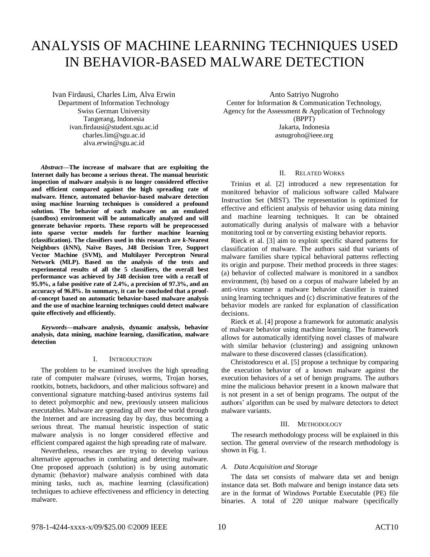# ANALYSIS OF MACHINE LEARNING TECHNIQUES USED IN BEHAVIOR-BASED MALWARE DETECTION

Ivan Firdausi, Charles Lim, Alva Erwin Department of Information Technology Swiss German University Tangerang, Indonesia ivan.firdausi@student.sgu.ac.id charles.lim@sgu.ac.id alva.erwin@sgu.ac.id

*Abstract***—The increase of malware that are exploiting the Internet daily has become a serious threat. The manual heuristic inspection of malware analysis is no longer considered effective and efficient compared against the high spreading rate of malware. Hence, automated behavior-based malware detection using machine learning techniques is considered a profound solution. The behavior of each malware on an emulated (sandbox) environment will be automatically analyzed and will generate behavior reports. These reports will be preprocessed into sparse vector models for further machine learning (classification). The classifiers used in this research are** *k***-Nearest Neighbors (***k***NN), Naïve Bayes, J48 Decision Tree, Support Vector Machine (SVM), and Multilayer Perceptron Neural Network (MLP). Based on the analysis of the tests and experimental results of all the 5 classifiers, the overall best performance was achieved by J48 decision tree with a recall of 95.9%, a false positive rate of 2.4%, a precision of 97.3%, and an accuracy of 96.8%. In summary, it can be concluded that a proofof-concept based on automatic behavior-based malware analysis and the use of machine learning techniques could detect malware quite effectively and efficiently.**

*Keywords—***malware analysis, dynamic analysis, behavior analysis, data mining, machine learning, classification, malware detection**

# I. INTRODUCTION

The problem to be examined involves the high spreading rate of computer malware (viruses, worms, Trojan horses, rootkits, botnets, backdoors, and other malicious software) and conventional signature matching-based antivirus systems fail to detect polymorphic and new, previously unseen malicious executables. Malware are spreading all over the world through the Internet and are increasing day by day, thus becoming a serious threat. The manual heuristic inspection of static malware analysis is no longer considered effective and efficient compared against the high spreading rate of malware.

Nevertheless, researches are trying to develop various alternative approaches in combating and detecting malware. One proposed approach (solution) is by using automatic dynamic (behavior) malware analysis combined with data mining tasks, such as, machine learning (classification) techniques to achieve effectiveness and efficiency in detecting malware.

Anto Satriyo Nugroho Center for Information & Communication Technology, Agency for the Assessment & Application of Technology (BPPT) Jakarta, Indonesia asnugroho@ieee.org

# II. RELATED WORKS

Trinius et al. [2] introduced a new representation for monitored behavior of malicious software called Malware Instruction Set (MIST). The representation is optimized for effective and efficient analysis of behavior using data mining and machine learning techniques. It can be obtained automatically during analysis of malware with a behavior monitoring tool or by converting existing behavior reports.

Rieck et al. [3] aim to exploit specific shared patterns for classification of malware. The authors said that variants of malware families share typical behavioral patterns reflecting its origin and purpose. Their method proceeds in three stages: (a) behavior of collected malware is monitored in a sandbox environment, (b) based on a corpus of malware labeled by an anti-virus scanner a malware behavior classifier is trained using learning techniques and (c) discriminative features of the behavior models are ranked for explanation of classification decisions.

Rieck et al. [4] propose a framework for automatic analysis of malware behavior using machine learning. The framework allows for automatically identifying novel classes of malware with similar behavior (clustering) and assigning unknown malware to these discovered classes (classification).

Christodorescu et al. [5] propose a technique by comparing the execution behavior of a known malware against the execution behaviors of a set of benign programs. The authors mine the malicious behavior present in a known malware that is not present in a set of benign programs. The output of the authors' algorithm can be used by malware detectors to detect malware variants.

# III. METHODOLOGY

The research methodology process will be explained in this section. The general overview of the research methodology is shown in Fig. 1.

# *A. Data Acquisition and Storage*

The data set consists of malware data set and benign instance data set. Both malware and benign instance data sets are in the format of Windows Portable Executable (PE) file binaries. A total of 220 unique malware (specifically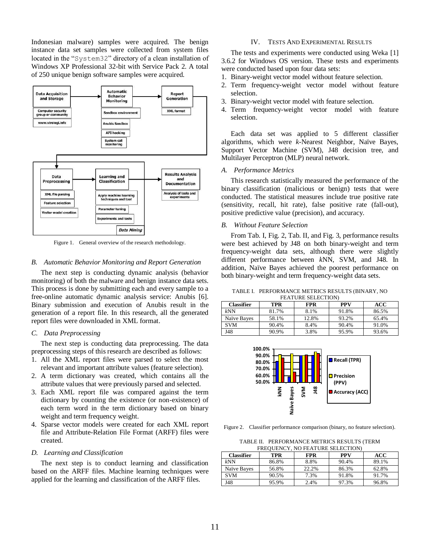Indonesian malware) samples were acquired. The benign instance data set samples were collected from system files located in the "System32" directory of a clean installation of Windows XP Professional 32-bit with Service Pack 2. A total of 250 unique benign software samples were acquired.



Figure 1. General overview of the research methodology.

#### *B. Automatic Behavior Monitoring and Report Generation*

The next step is conducting dynamic analysis (behavior monitoring) of both the malware and benign instance data sets. This process is done by submitting each and every sample to a free-online automatic dynamic analysis service: Anubis [6]. Binary submission and execution of Anubis result in the generation of a report file. In this research, all the generated report files were downloaded in XML format.

# *C. Data Preprocessing*

The next step is conducting data preprocessing. The data preprocessing steps of this research are described as follows:

- 1. All the XML report files were parsed to select the most relevant and important attribute values (feature selection).
- 2. A term dictionary was created, which contains all the attribute values that were previously parsed and selected.
- 3. Each XML report file was compared against the term dictionary by counting the existence (or non-existence) of each term word in the term dictionary based on binary weight and term frequency weight.
- 4. Sparse vector models were created for each XML report file and Attribute-Relation File Format (ARFF) files were created.

# *D. Learning and Classification*

The next step is to conduct learning and classification based on the ARFF files. Machine learning techniques were applied for the learning and classification of the ARFF files.

#### IV. TESTS AND EXPERIMENTAL RESULTS

The tests and experiments were conducted using Weka [1] 3.6.2 for Windows OS version. These tests and experiments were conducted based upon four data sets:

- 1. Binary-weight vector model without feature selection.
- 2. Term frequency-weight vector model without feature selection.
- 3. Binary-weight vector model with feature selection.
- 4. Term frequency-weight vector model with feature selection.

Each data set was applied to 5 different classifier algorithms, which were *k*-Nearest Neighbor, Naïve Bayes, Support Vector Machine (SVM), J48 decision tree, and Multilayer Perceptron (MLP) neural network.

## *A. Performance Metrics*

This research statistically measured the performance of the binary classification (malicious or benign) tests that were conducted. The statistical measures include true positive rate (sensitivity, recall, hit rate), false positive rate (fall-out), positive predictive value (precision), and accuracy.

# *B. Without Feature Selection*

From Tab. I, Fig. 2, Tab. II, and Fig. 3, performance results were best achieved by J48 on both binary-weight and term frequency-weight data sets, although there were slightly different performance between *k*NN, SVM, and J48. In addition, Naïve Bayes achieved the poorest performance on both binary-weight and term frequency-weight data sets.

TABLE I. PERFORMANCE METRICS RESULTS (BINARY, NO FEATURE SELECTION)

| <b>Classifier</b> | <b>TPR</b> | <b>FPR</b> | <b>PPV</b> | ACC   |
|-------------------|------------|------------|------------|-------|
| kNN               | 81.7%      | 8.1%       | 91.8%      | 86.5% |
| Naïve Bayes       | 58.1%      | 12.8%      | 93.2%      | 65.4% |
| <b>SVM</b>        | 90.4%      | 8.4%       | 90.4%      | 91.0% |
| J48               | 90.9%      | 3.8%       | 95.9%      | 93.6% |



Figure 2. Classifier performance comparison (binary, no feature selection).

TABLE II. PERFORMANCE METRICS RESULTS (TERM FREQUENCY, NO FEATURE SELECTION)

| <b>Classifier</b> | <b>TPR</b> | <b>FPR</b> | <b>PPV</b> | ACC   |
|-------------------|------------|------------|------------|-------|
| kNN               | 86.8%      | 8.8%       | 90.4%      | 89.1% |
| Naïve Bayes       | 56.8%      | 22.2%      | 86.3%      | 62.8% |
| <b>SVM</b>        | 90.5%      | 7.3%       | 91.8%      | 91.7% |
| J48               | 95.9%      | 2.4%       | 97.3%      | 96.8% |